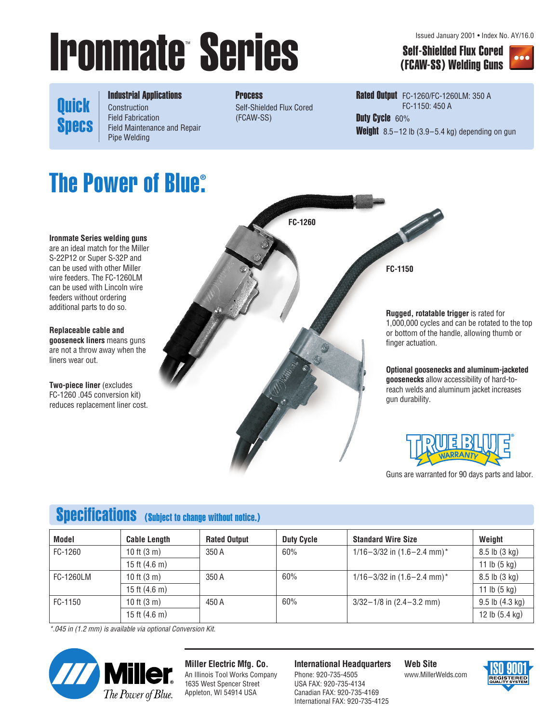# **Ironmate Series Self-Shielded Flux Cored**<br>
(FCAW-SS) Welding Guns

Issued January 2001 • Index No. AY/16.0

(FCAW-SS) Welding Guns



**Quick Specs**  Industrial Applications Construction Field Fabrication Field Maintenance and Repair Pipe Welding

**Process** Self-Shielded Flux Cored (FCAW-SS)

Rated Output FC-1260/FC-1260LM: 350 A FC-1150: 450 A Duty Cycle 60% Weight 8.5-12 lb (3.9-5.4 kg) depending on gun

# **The Power of Blue® .**

**Ironmate Series welding guns** are an ideal match for the Miller S-22P12 or Super S-32P and can be used with other Miller wire feeders. The FC-1260LM can be used with Lincoln wire feeders without ordering additional parts to do so.

**Replaceable cable and gooseneck liners** means guns are not a throw away when the liners wear out.

**Two-piece liner** (excludes FC-1260 .045 conversion kit) reduces replacement liner cost.



**Rugged, rotatable trigger** is rated for 1,000,000 cycles and can be rotated to the top or bottom of the handle, allowing thumb or

**Optional goosenecks and aluminum-jacketed goosenecks** allow accessibility of hard-toreach welds and aluminum jacket increases gun durability.



Guns are warranted for 90 days parts and labor.

# Specifications (Subject to change without notice.)

| Model     | <b>Cable Length</b>     | <b>Rated Output</b> | <b>Duty Cycle</b> | <b>Standard Wire Size</b>          | Weight                   |
|-----------|-------------------------|---------------------|-------------------|------------------------------------|--------------------------|
| FC-1260   | 10 ft $(3 m)$           | 350 A               | 60%               | $1/16 - 3/32$ in $(1.6 - 2.4$ mm)* | $8.5$ lb $(3$ kg)        |
|           | 15 ft $(4.6 \text{ m})$ |                     |                   |                                    | 11 lb $(5 \text{ kg})$   |
| FC-1260LM | 10 ft $(3 m)$           | 350 A               | 60%               | $1/16 - 3/32$ in $(1.6 - 2.4$ mm)* | $8.5$ lb $(3$ kg)        |
|           | 15 ft $(4.6 \text{ m})$ |                     |                   |                                    | 11 lb $(5 \text{ kg})$   |
| FC-1150   | 10 ft $(3 m)$           | 450 A               | 60%               | $3/32 - 1/8$ in $(2.4 - 3.2$ mm)   | $9.5$ lb $(4.3$ kg)      |
|           | 15 ft $(4.6 \text{ m})$ |                     |                   |                                    | 12 lb $(5.4 \text{ kg})$ |

*\*.045 in (1.2 mm) is available via optional Conversion Kit.*



**Miller Electric Mfg. Co.** An Illinois Tool Works Company

1635 West Spencer Street Appleton, WI 54914 USA

**International Headquarters**

Phone: 920-735-4505 USA FAX: 920-735-4134 Canadian FAX: 920-735-4169 International FAX: 920-735-4125 **Web Site** www.MillerWelds.com